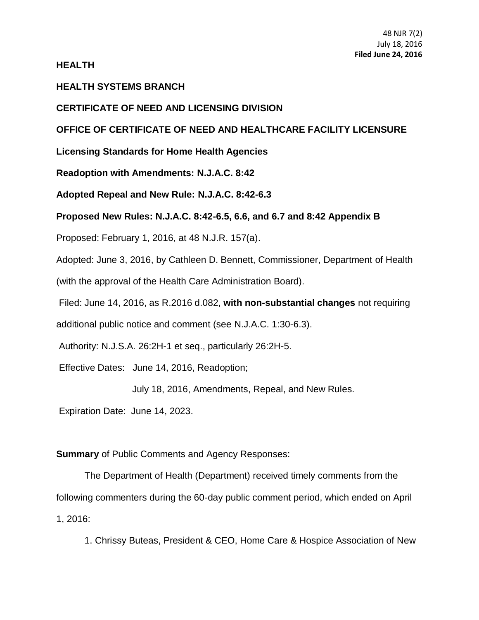**HEALTH**

## **HEALTH SYSTEMS BRANCH**

#### **CERTIFICATE OF NEED AND LICENSING DIVISION**

# **OFFICE OF CERTIFICATE OF NEED AND HEALTHCARE FACILITY LICENSURE**

**Licensing Standards for Home Health Agencies**

**Readoption with Amendments: [N.J.A.C. 8:42](https://web.lexisnexis.com/research/buttonTFLink?_m=30b216b00466c29f48f002103c5164ee&_xfercite=%3ccite%20cc%3d%22USA%22%3e%3c%21%5bCDATA%5b47%20N.J.R.%202063%28a%29%5d%5d%3e%3c%2fcite%3e&_butType=4&_butStat=0&_butNum=2&_butInline=1&_butinfo=NJ%20ADMIN%208%3a33&_fmtstr=FULL&docnum=5&_startdoc=1&wchp=dGLzVzt-zSkAb&_md5=7a28b3a55d8e8de42a5dd5df02237367)**

**Adopted Repeal and New Rule: [N.J.A.C. 8:42-](https://web.lexisnexis.com/research/buttonTFLink?_m=30b216b00466c29f48f002103c5164ee&_xfercite=%3ccite%20cc%3d%22USA%22%3e%3c%21%5bCDATA%5b47%20N.J.R.%202063%28a%29%5d%5d%3e%3c%2fcite%3e&_butType=4&_butStat=0&_butNum=3&_butInline=1&_butinfo=NJ%20ADMIN%208%3a33&_fmtstr=FULL&docnum=5&_startdoc=1&wchp=dGLzVzt-zSkAb&_md5=3d5fc8a11be751aa418df645c97f7571)6.3**

## **Proposed New Rules: N.J.A.C. 8:42-6.5, 6.6, and 6.7 and 8:42 Appendix B**

Proposed: February 1, 2016, at 48 N.J.R. 157(a).

Adopted: June 3, 2016, by Cathleen D. Bennett, Commissioner, Department of Health

(with the approval of the Health Care Administration Board).

Filed: June 14, 2016, as R.2016 d.082, **with non-substantial changes** not requiring

additional public notice and comment (see [N.J.A.C. 1:30-6.3\)](https://web.lexisnexis.com/research/buttonTFLink?_m=30b216b00466c29f48f002103c5164ee&_xfercite=%3ccite%20cc%3d%22USA%22%3e%3c%21%5bCDATA%5b47%20N.J.R.%202063%28a%29%5d%5d%3e%3c%2fcite%3e&_butType=4&_butStat=0&_butNum=5&_butInline=1&_butinfo=NJ%20ADMIN%201%3a30-6.3&_fmtstr=FULL&docnum=5&_startdoc=1&wchp=dGLzVzt-zSkAb&_md5=7dd89c594fca18998be0a66ea0fb63d2).

Authority: [N.J.S.A. 26:2H-1](https://web.lexisnexis.com/research/buttonTFLink?_m=30b216b00466c29f48f002103c5164ee&_xfercite=%3ccite%20cc%3d%22USA%22%3e%3c%21%5bCDATA%5b47%20N.J.R.%202063%28a%29%5d%5d%3e%3c%2fcite%3e&_butType=4&_butStat=0&_butNum=6&_butInline=1&_butinfo=NJCODE%2026%3a2H-1&_fmtstr=FULL&docnum=5&_startdoc=1&wchp=dGLzVzt-zSkAb&_md5=6e24b96c7bbdb9982f889894c25d9156) et seq., particularly 26:2H-5.

Effective Dates: June 14, 2016, Readoption;

July 18, 2016, Amendments, Repeal, and New Rules.

Expiration Date: June 14, 2023.

#### **Summary** of Public Comments and Agency Responses:

The Department of Health (Department) received timely comments from the following commenters during the 60-day public comment period, which ended on April 1, 2016:

1. Chrissy Buteas, President & CEO, Home Care & Hospice Association of New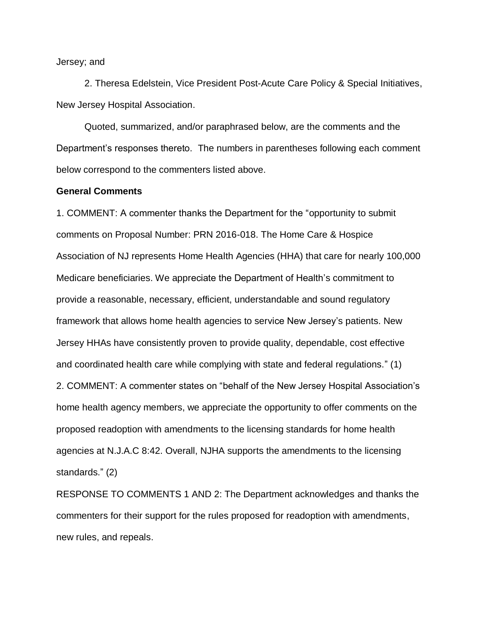Jersey; and

2. Theresa Edelstein, Vice President Post-Acute Care Policy & Special Initiatives, New Jersey Hospital Association.

Quoted, summarized, and/or paraphrased below, are the comments and the Department's responses thereto. The numbers in parentheses following each comment below correspond to the commenters listed above.

## **General Comments**

1. COMMENT: A commenter thanks the Department for the "opportunity to submit comments on Proposal Number: PRN 2016-018. The Home Care & Hospice Association of NJ represents Home Health Agencies (HHA) that care for nearly 100,000 Medicare beneficiaries. We appreciate the Department of Health's commitment to provide a reasonable, necessary, efficient, understandable and sound regulatory framework that allows home health agencies to service New Jersey's patients. New Jersey HHAs have consistently proven to provide quality, dependable, cost effective and coordinated health care while complying with state and federal regulations." (1) 2. COMMENT: A commenter states on "behalf of the New Jersey Hospital Association's home health agency members, we appreciate the opportunity to offer comments on the proposed readoption with amendments to the licensing standards for home health agencies at N.J.A.C 8:42. Overall, NJHA supports the amendments to the licensing standards." (2)

RESPONSE TO COMMENTS 1 AND 2: The Department acknowledges and thanks the commenters for their support for the rules proposed for readoption with amendments, new rules, and repeals.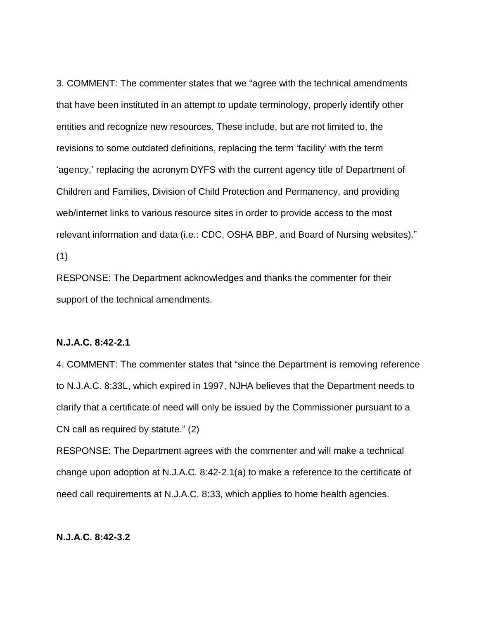3. COMMENT: The commenter states that we "agree with the technical amendments that have been instituted in an attempt to update terminology, properly identify other entities and recognize new resources. These include, but are not limited to, the revisions to some outdated definitions, replacing the term 'facility' with the term 'agency,' replacing the acronym DYFS with the current agency title of Department of Children and Families, Division of Child Protection and Permanency, and providing web/internet links to various resource sites in order to provide access to the most relevant information and data (i.e.: CDC, OSHA BBP, and Board of Nursing websites)." (1)

RESPONSE: The Department acknowledges and thanks the commenter for their support of the technical amendments.

#### **N.J.A.C. 8:42-2.1**

4. COMMENT: The commenter states that "since the Department is removing reference to N.J.A.C. 8:33L, which expired in 1997, NJHA believes that the Department needs to clarify that a certificate of need will only be issued by the Commissioner pursuant to a CN call as required by statute." (2)

RESPONSE: The Department agrees with the commenter and will make a technical change upon adoption at N.J.A.C. 8:42-2.1(a) to make a reference to the certificate of need call requirements at N.J.A.C. 8:33, which applies to home health agencies.

# **N.J.A.C. 8:42-3.2**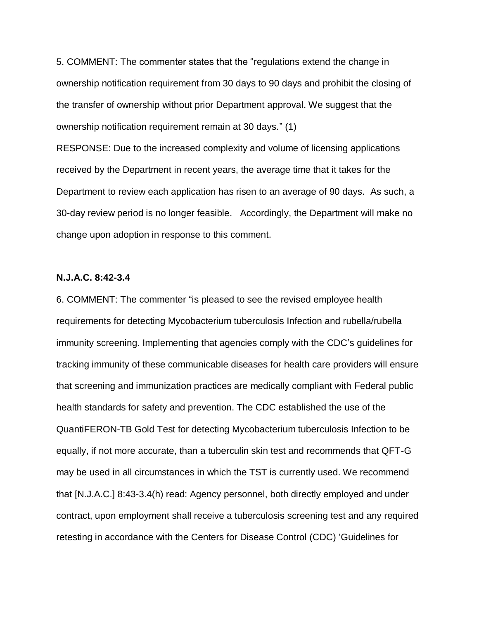5. COMMENT: The commenter states that the "regulations extend the change in ownership notification requirement from 30 days to 90 days and prohibit the closing of the transfer of ownership without prior Department approval. We suggest that the ownership notification requirement remain at 30 days." (1)

RESPONSE: Due to the increased complexity and volume of licensing applications received by the Department in recent years, the average time that it takes for the Department to review each application has risen to an average of 90 days. As such, a 30-day review period is no longer feasible. Accordingly, the Department will make no change upon adoption in response to this comment.

# **N.J.A.C. 8:42-3.4**

6. COMMENT: The commenter "is pleased to see the revised employee health requirements for detecting Mycobacterium tuberculosis Infection and rubella/rubella immunity screening. Implementing that agencies comply with the CDC's guidelines for tracking immunity of these communicable diseases for health care providers will ensure that screening and immunization practices are medically compliant with Federal public health standards for safety and prevention. The CDC established the use of the QuantiFERON-TB Gold Test for detecting Mycobacterium tuberculosis Infection to be equally, if not more accurate, than a tuberculin skin test and recommends that QFT-G may be used in all circumstances in which the TST is currently used. We recommend that [N.J.A.C.] 8:43-3.4(h) read: Agency personnel, both directly employed and under contract, upon employment shall receive a tuberculosis screening test and any required retesting in accordance with the Centers for Disease Control (CDC) 'Guidelines for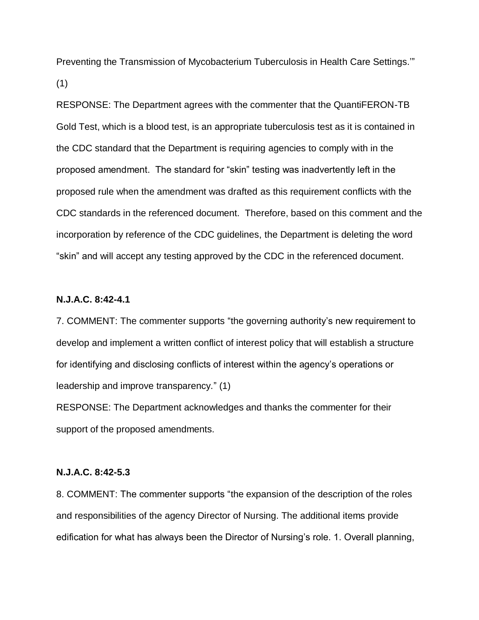Preventing the Transmission of Mycobacterium Tuberculosis in Health Care Settings.'" (1)

RESPONSE: The Department agrees with the commenter that the QuantiFERON-TB Gold Test, which is a blood test, is an appropriate tuberculosis test as it is contained in the CDC standard that the Department is requiring agencies to comply with in the proposed amendment. The standard for "skin" testing was inadvertently left in the proposed rule when the amendment was drafted as this requirement conflicts with the CDC standards in the referenced document. Therefore, based on this comment and the incorporation by reference of the CDC guidelines, the Department is deleting the word "skin" and will accept any testing approved by the CDC in the referenced document.

# **N.J.A.C. 8:42-4.1**

7. COMMENT: The commenter supports "the governing authority's new requirement to develop and implement a written conflict of interest policy that will establish a structure for identifying and disclosing conflicts of interest within the agency's operations or leadership and improve transparency." (1)

RESPONSE: The Department acknowledges and thanks the commenter for their support of the proposed amendments.

#### **N.J.A.C. 8:42-5.3**

8. COMMENT: The commenter supports "the expansion of the description of the roles and responsibilities of the agency Director of Nursing. The additional items provide edification for what has always been the Director of Nursing's role. 1. Overall planning,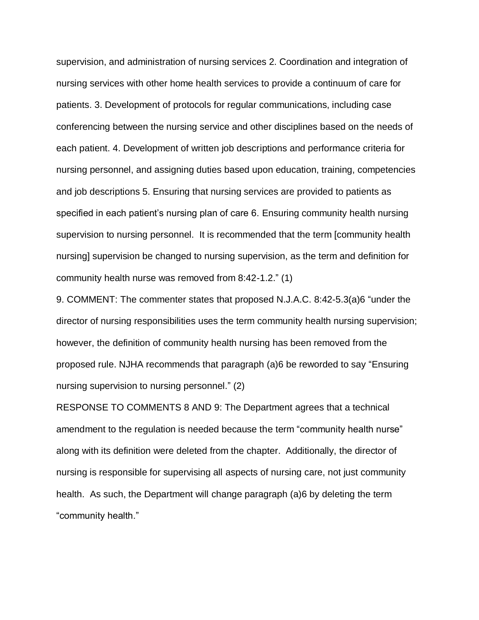supervision, and administration of nursing services 2. Coordination and integration of nursing services with other home health services to provide a continuum of care for patients. 3. Development of protocols for regular communications, including case conferencing between the nursing service and other disciplines based on the needs of each patient. 4. Development of written job descriptions and performance criteria for nursing personnel, and assigning duties based upon education, training, competencies and job descriptions 5. Ensuring that nursing services are provided to patients as specified in each patient's nursing plan of care 6. Ensuring community health nursing supervision to nursing personnel. It is recommended that the term [community health nursing] supervision be changed to nursing supervision, as the term and definition for community health nurse was removed from 8:42-1.2." (1)

9. COMMENT: The commenter states that proposed N.J.A.C. 8:42-5.3(a)6 "under the director of nursing responsibilities uses the term community health nursing supervision; however, the definition of community health nursing has been removed from the proposed rule. NJHA recommends that paragraph (a)6 be reworded to say "Ensuring nursing supervision to nursing personnel." (2)

RESPONSE TO COMMENTS 8 AND 9: The Department agrees that a technical amendment to the regulation is needed because the term "community health nurse" along with its definition were deleted from the chapter. Additionally, the director of nursing is responsible for supervising all aspects of nursing care, not just community health. As such, the Department will change paragraph (a)6 by deleting the term "community health."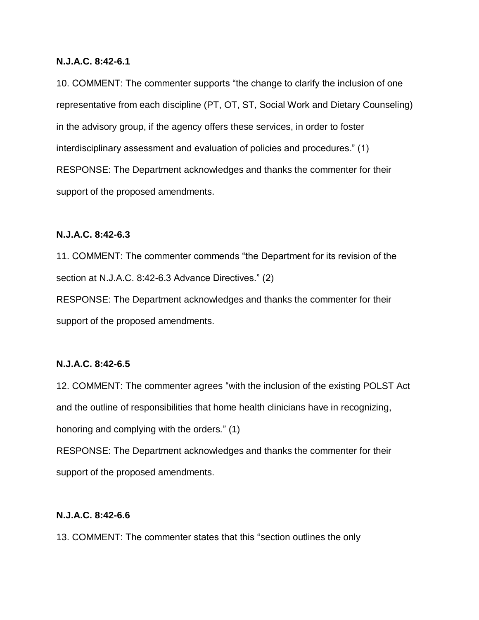#### **N.J.A.C. 8:42-6.1**

10. COMMENT: The commenter supports "the change to clarify the inclusion of one representative from each discipline (PT, OT, ST, Social Work and Dietary Counseling) in the advisory group, if the agency offers these services, in order to foster interdisciplinary assessment and evaluation of policies and procedures." (1) RESPONSE: The Department acknowledges and thanks the commenter for their support of the proposed amendments.

# **N.J.A.C. 8:42-6.3**

11. COMMENT: The commenter commends "the Department for its revision of the section at N.J.A.C. 8:42-6.3 Advance Directives." (2)

RESPONSE: The Department acknowledges and thanks the commenter for their support of the proposed amendments.

# **N.J.A.C. 8:42-6.5**

12. COMMENT: The commenter agrees "with the inclusion of the existing POLST Act and the outline of responsibilities that home health clinicians have in recognizing, honoring and complying with the orders." (1) RESPONSE: The Department acknowledges and thanks the commenter for their

support of the proposed amendments.

# **N.J.A.C. 8:42-6.6**

13. COMMENT: The commenter states that this "section outlines the only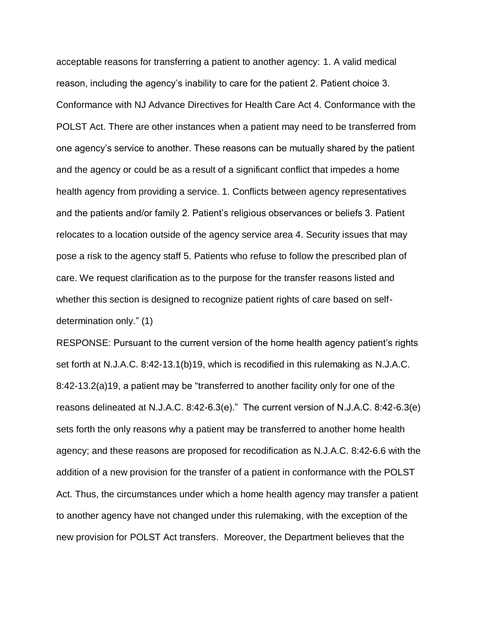acceptable reasons for transferring a patient to another agency: 1. A valid medical reason, including the agency's inability to care for the patient 2. Patient choice 3. Conformance with NJ Advance Directives for Health Care Act 4. Conformance with the POLST Act. There are other instances when a patient may need to be transferred from one agency's service to another. These reasons can be mutually shared by the patient and the agency or could be as a result of a significant conflict that impedes a home health agency from providing a service. 1. Conflicts between agency representatives and the patients and/or family 2. Patient's religious observances or beliefs 3. Patient relocates to a location outside of the agency service area 4. Security issues that may pose a risk to the agency staff 5. Patients who refuse to follow the prescribed plan of care. We request clarification as to the purpose for the transfer reasons listed and whether this section is designed to recognize patient rights of care based on selfdetermination only." (1)

RESPONSE: Pursuant to the current version of the home health agency patient's rights set forth at N.J.A.C. 8:42-13.1(b)19, which is recodified in this rulemaking as N.J.A.C. 8:42-13.2(a)19, a patient may be "transferred to another facility only for one of the reasons delineated at N.J.A.C. 8:42-6.3(e)." The current version of N.J.A.C. 8:42-6.3(e) sets forth the only reasons why a patient may be transferred to another home health agency; and these reasons are proposed for recodification as N.J.A.C. 8:42-6.6 with the addition of a new provision for the transfer of a patient in conformance with the POLST Act. Thus, the circumstances under which a home health agency may transfer a patient to another agency have not changed under this rulemaking, with the exception of the new provision for POLST Act transfers. Moreover, the Department believes that the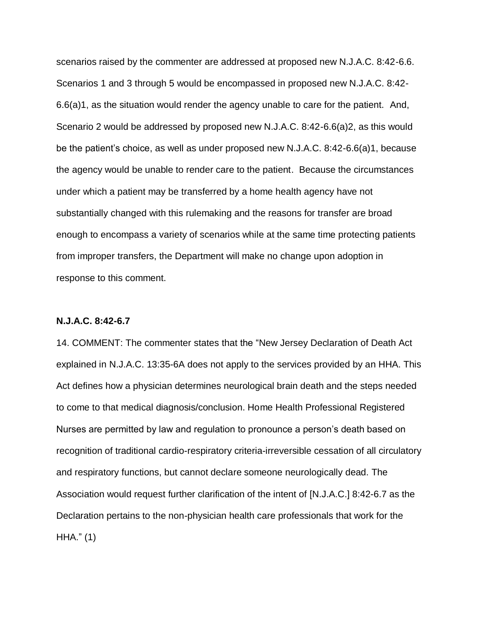scenarios raised by the commenter are addressed at proposed new N.J.A.C. 8:42-6.6. Scenarios 1 and 3 through 5 would be encompassed in proposed new N.J.A.C. 8:42- 6.6(a)1, as the situation would render the agency unable to care for the patient. And, Scenario 2 would be addressed by proposed new N.J.A.C. 8:42-6.6(a)2, as this would be the patient's choice, as well as under proposed new N.J.A.C. 8:42-6.6(a)1, because the agency would be unable to render care to the patient. Because the circumstances under which a patient may be transferred by a home health agency have not substantially changed with this rulemaking and the reasons for transfer are broad enough to encompass a variety of scenarios while at the same time protecting patients from improper transfers, the Department will make no change upon adoption in response to this comment.

#### **N.J.A.C. 8:42-6.7**

14. COMMENT: The commenter states that the "New Jersey Declaration of Death Act explained in N.J.A.C. 13:35-6A does not apply to the services provided by an HHA. This Act defines how a physician determines neurological brain death and the steps needed to come to that medical diagnosis/conclusion. Home Health Professional Registered Nurses are permitted by law and regulation to pronounce a person's death based on recognition of traditional cardio-respiratory criteria-irreversible cessation of all circulatory and respiratory functions, but cannot declare someone neurologically dead. The Association would request further clarification of the intent of [N.J.A.C.] 8:42-6.7 as the Declaration pertains to the non-physician health care professionals that work for the HHA." (1)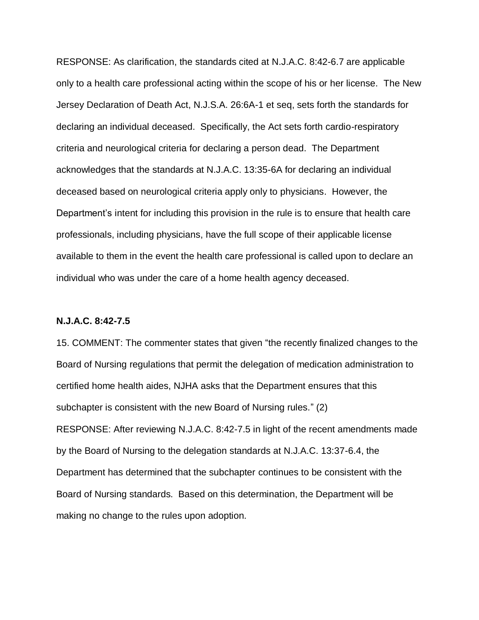RESPONSE: As clarification, the standards cited at N.J.A.C. 8:42-6.7 are applicable only to a health care professional acting within the scope of his or her license. The New Jersey Declaration of Death Act, N.J.S.A. 26:6A-1 et seq, sets forth the standards for declaring an individual deceased. Specifically, the Act sets forth cardio-respiratory criteria and neurological criteria for declaring a person dead. The Department acknowledges that the standards at N.J.A.C. 13:35-6A for declaring an individual deceased based on neurological criteria apply only to physicians. However, the Department's intent for including this provision in the rule is to ensure that health care professionals, including physicians, have the full scope of their applicable license available to them in the event the health care professional is called upon to declare an individual who was under the care of a home health agency deceased.

#### **N.J.A.C. 8:42-7.5**

15. COMMENT: The commenter states that given "the recently finalized changes to the Board of Nursing regulations that permit the delegation of medication administration to certified home health aides, NJHA asks that the Department ensures that this subchapter is consistent with the new Board of Nursing rules." (2) RESPONSE: After reviewing N.J.A.C. 8:42-7.5 in light of the recent amendments made by the Board of Nursing to the delegation standards at N.J.A.C. 13:37-6.4, the Department has determined that the subchapter continues to be consistent with the Board of Nursing standards. Based on this determination, the Department will be making no change to the rules upon adoption.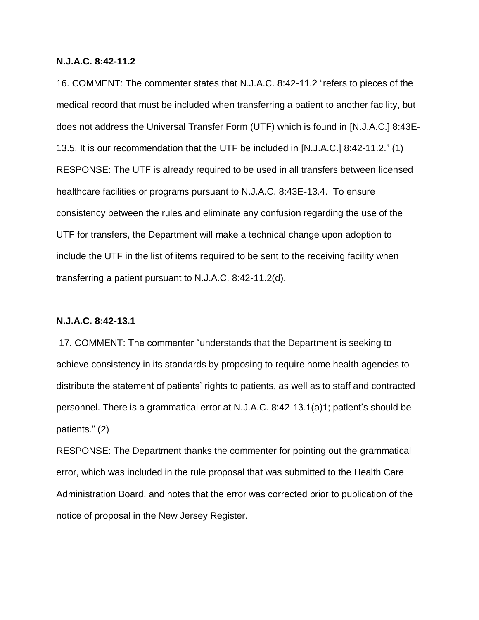#### **N.J.A.C. 8:42-11.2**

16. COMMENT: The commenter states that N.J.A.C. 8:42-11.2 "refers to pieces of the medical record that must be included when transferring a patient to another facility, but does not address the Universal Transfer Form (UTF) which is found in [N.J.A.C.] 8:43E-13.5. It is our recommendation that the UTF be included in [N.J.A.C.] 8:42-11.2." (1) RESPONSE: The UTF is already required to be used in all transfers between licensed healthcare facilities or programs pursuant to N.J.A.C. 8:43E-13.4. To ensure consistency between the rules and eliminate any confusion regarding the use of the UTF for transfers, the Department will make a technical change upon adoption to include the UTF in the list of items required to be sent to the receiving facility when transferring a patient pursuant to N.J.A.C. 8:42-11.2(d).

#### **N.J.A.C. 8:42-13.1**

17. COMMENT: The commenter "understands that the Department is seeking to achieve consistency in its standards by proposing to require home health agencies to distribute the statement of patients' rights to patients, as well as to staff and contracted personnel. There is a grammatical error at N.J.A.C. 8:42-13.1(a)1; patient's should be patients." (2)

RESPONSE: The Department thanks the commenter for pointing out the grammatical error, which was included in the rule proposal that was submitted to the Health Care Administration Board, and notes that the error was corrected prior to publication of the notice of proposal in the New Jersey Register.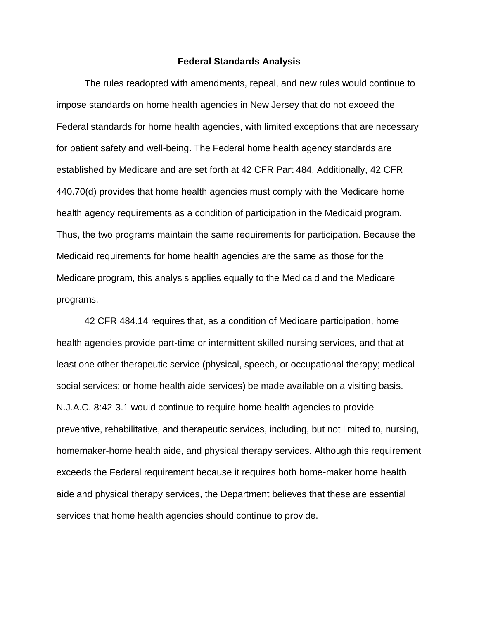#### **Federal Standards Analysis**

The rules readopted with amendments, repeal, and new rules would continue to impose standards on home health agencies in New Jersey that do not exceed the Federal standards for home health agencies, with limited exceptions that are necessary for patient safety and well-being. The Federal home health agency standards are established by Medicare and are set forth at 42 CFR Part 484. Additionally, [42 CFR](https://web.lexisnexis.com/research/buttonTFLink?_m=975d90ccd21c54649b6debea8eb510bc&_xfercite=%3ccite%20cc%3d%22USA%22%3e%3c%21%5bCDATA%5b48%20N.J.R.%20157%28a%29%5d%5d%3e%3c%2fcite%3e&_butType=4&_butStat=0&_butNum=150&_butInline=1&_butinfo=42%20CFR%20440.70&_fmtstr=FULL&docnum=7&_startdoc=1&wchp=dGLzVzt-zSkAb&_md5=49bf8b6a234e9d555af2e4624bdcf7db)  [440.70\(d\)](https://web.lexisnexis.com/research/buttonTFLink?_m=975d90ccd21c54649b6debea8eb510bc&_xfercite=%3ccite%20cc%3d%22USA%22%3e%3c%21%5bCDATA%5b48%20N.J.R.%20157%28a%29%5d%5d%3e%3c%2fcite%3e&_butType=4&_butStat=0&_butNum=150&_butInline=1&_butinfo=42%20CFR%20440.70&_fmtstr=FULL&docnum=7&_startdoc=1&wchp=dGLzVzt-zSkAb&_md5=49bf8b6a234e9d555af2e4624bdcf7db) provides that home health agencies must comply with the Medicare home health agency requirements as a condition of participation in the Medicaid program. Thus, the two programs maintain the same requirements for participation. Because the Medicaid requirements for home health agencies are the same as those for the Medicare program, this analysis applies equally to the Medicaid and the Medicare programs.

[42 CFR 484.14](https://web.lexisnexis.com/research/buttonTFLink?_m=975d90ccd21c54649b6debea8eb510bc&_xfercite=%3ccite%20cc%3d%22USA%22%3e%3c%21%5bCDATA%5b48%20N.J.R.%20157%28a%29%5d%5d%3e%3c%2fcite%3e&_butType=4&_butStat=0&_butNum=151&_butInline=1&_butinfo=42%20CFR%20484.14&_fmtstr=FULL&docnum=7&_startdoc=1&wchp=dGLzVzt-zSkAb&_md5=cecf43a5b42a9b5b1cf9f941ee38d491) requires that, as a condition of Medicare participation, home health agencies provide part-time or intermittent skilled nursing services, and that at least one other therapeutic service (physical, speech, or occupational therapy; medical social services; or home health aide services) be made available on a visiting basis. [N.J.A.C. 8:42-3.1](https://web.lexisnexis.com/research/buttonTFLink?_m=975d90ccd21c54649b6debea8eb510bc&_xfercite=%3ccite%20cc%3d%22USA%22%3e%3c%21%5bCDATA%5b48%20N.J.R.%20157%28a%29%5d%5d%3e%3c%2fcite%3e&_butType=4&_butStat=0&_butNum=152&_butInline=1&_butinfo=NJ%20ADMIN%208%3a42-3.1&_fmtstr=FULL&docnum=7&_startdoc=1&wchp=dGLzVzt-zSkAb&_md5=84b5c8b8cb5b6edf79ea03c7085c8040) would continue to require home health agencies to provide preventive, rehabilitative, and therapeutic services, including, but not limited to, nursing, homemaker-home health aide, and physical therapy services. Although this requirement exceeds the Federal requirement because it requires both home-maker home health aide and physical therapy services, the Department believes that these are essential services that home health agencies should continue to provide.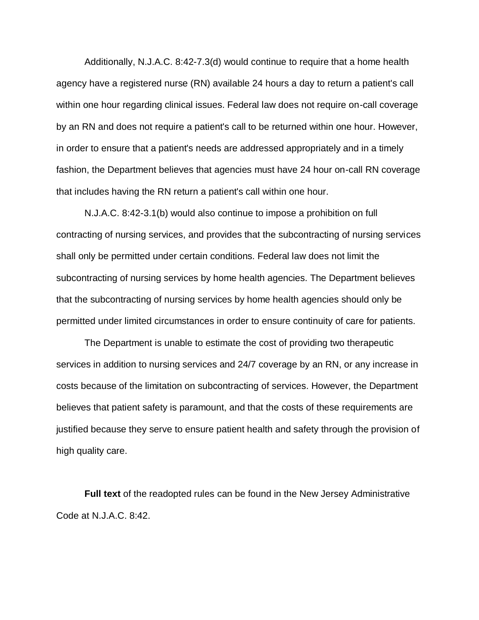Additionally, [N.J.A.C. 8:42-7.3\(d\)](https://web.lexisnexis.com/research/buttonTFLink?_m=975d90ccd21c54649b6debea8eb510bc&_xfercite=%3ccite%20cc%3d%22USA%22%3e%3c%21%5bCDATA%5b48%20N.J.R.%20157%28a%29%5d%5d%3e%3c%2fcite%3e&_butType=4&_butStat=0&_butNum=153&_butInline=1&_butinfo=NJ%20ADMIN%208%3a42-7.3&_fmtstr=FULL&docnum=7&_startdoc=1&wchp=dGLzVzt-zSkAb&_md5=2637a1c0dd33ea5fd079c5f6a9a50d1e) would continue to require that a home health agency have a registered nurse (RN) available 24 hours a day to return a patient's call within one hour regarding clinical issues. Federal law does not require on-call coverage by an RN and does not require a patient's call to be returned within one hour. However, in order to ensure that a patient's needs are addressed appropriately and in a timely fashion, the Department believes that agencies must have 24 hour on-call RN coverage that includes having the RN return a patient's call within one hour.

[N.J.A.C. 8:42-3.1\(b\)](https://web.lexisnexis.com/research/buttonTFLink?_m=975d90ccd21c54649b6debea8eb510bc&_xfercite=%3ccite%20cc%3d%22USA%22%3e%3c%21%5bCDATA%5b48%20N.J.R.%20157%28a%29%5d%5d%3e%3c%2fcite%3e&_butType=4&_butStat=0&_butNum=154&_butInline=1&_butinfo=NJ%20ADMIN%208%3a42-3.1&_fmtstr=FULL&docnum=7&_startdoc=1&wchp=dGLzVzt-zSkAb&_md5=794bb36f3b3df6c79a7d5cf0491a3d1a) would also continue to impose a prohibition on full contracting of nursing services, and provides that the subcontracting of nursing services shall only be permitted under certain conditions. Federal law does not limit the subcontracting of nursing services by home health agencies. The Department believes that the subcontracting of nursing services by home health agencies should only be permitted under limited circumstances in order to ensure continuity of care for patients.

The Department is unable to estimate the cost of providing two therapeutic services in addition to nursing services and 24/7 coverage by an RN, or any increase in costs because of the limitation on subcontracting of services. However, the Department believes that patient safety is paramount, and that the costs of these requirements are justified because they serve to ensure patient health and safety through the provision of high quality care.

**Full text** of the readopted rules can be found in the New Jersey Administrative Code at [N.J.A.C. 8:42.](https://web.lexisnexis.com/research/buttonTFLink?_m=30b216b00466c29f48f002103c5164ee&_xfercite=%3ccite%20cc%3d%22USA%22%3e%3c%21%5bCDATA%5b47%20N.J.R.%202063%28a%29%5d%5d%3e%3c%2fcite%3e&_butType=4&_butStat=0&_butNum=97&_butInline=1&_butinfo=NJ%20ADMIN%208%3a33&_fmtstr=FULL&docnum=5&_startdoc=1&wchp=dGLzVzt-zSkAb&_md5=0d03b8f0c39698bb5ecaec0ed5dc0d1e)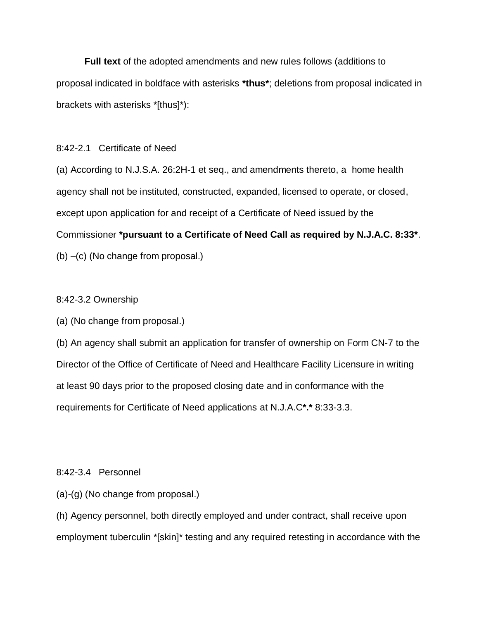**Full text** of the adopted amendments and new rules follows (additions to proposal indicated in boldface with asterisks **\*thus\***; deletions from proposal indicated in brackets with asterisks \*[thus]\*):

# 8:42-2.1 Certificate of Need

(a) According to [N.J.S.A. 26:2H-1](https://web.lexisnexis.com/research/buttonTFLink?_m=975d90ccd21c54649b6debea8eb510bc&_xfercite=%3ccite%20cc%3d%22USA%22%3e%3c%21%5bCDATA%5b48%20N.J.R.%20157%28a%29%5d%5d%3e%3c%2fcite%3e&_butType=4&_butStat=0&_butNum=161&_butInline=1&_butinfo=NJCODE%2026%3a2H-1&_fmtstr=FULL&docnum=7&_startdoc=1&wchp=dGLzVzt-zSkAb&_md5=c71f5916cb2e20ec9807f457c50d9a75) et seq., and amendments thereto, a home health agency shall not be instituted, constructed, expanded, licensed to operate, or closed, except upon application for and receipt of a Certificate of Need issued by the Commissioner **\*pursuant to a Certificate of Need Call as required by N.J.A.C. 8:33\***. (b) –(c) (No change from proposal.)

# 8:42-3.2 Ownership

(a) (No change from proposal.)

(b) An agency shall submit an application for transfer of ownership on Form CN-7 to the Director of the Office of Certificate of Need and Healthcare Facility Licensure in writing at least 90 days prior to the proposed closing date and in conformance with the requirements for Certificate of Need applications at N.J.A.C**\*.\*** 8:33-3.3.

# 8:42-3.4 Personnel

(a)-(g) (No change from proposal.)

(h) Agency personnel, both directly employed and under contract, shall receive upon employment tuberculin \*[skin]\* testing and any required retesting in accordance with the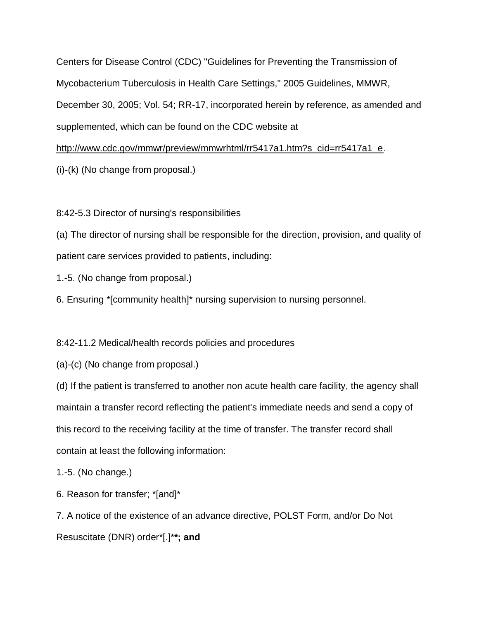Centers for Disease Control (CDC) "Guidelines for Preventing the Transmission of Mycobacterium Tuberculosis in Health Care Settings," 2005 Guidelines, MMWR, December 30, 2005; Vol. 54; RR-17, incorporated herein by reference, as amended and supplemented, which can be found on the CDC website at

[http://www.cdc.gov/mmwr/preview/mmwrhtml/rr5417a1.htm?s\\_cid=rr5417a1\\_e.](http://www.cdc.gov/mmwr/preview/mmwrhtml/rr5417a1.htm?s_cid=rr5417a1_e)

(i)-(k) (No change from proposal.)

8:42-5.3 Director of nursing's responsibilities

(a) The director of nursing shall be responsible for the direction, provision, and quality of patient care services provided to patients, including:

1.-5. (No change from proposal.)

6. Ensuring \*[community health]\* nursing supervision to nursing personnel.

8:42-11.2 Medical/health records policies and procedures

(a)-(c) (No change from proposal.)

(d) If the patient is transferred to another non acute health care facility, the agency shall maintain a transfer record reflecting the patient's immediate needs and send a copy of this record to the receiving facility at the time of transfer. The transfer record shall contain at least the following information:

1.-5. (No change.)

6. Reason for transfer; \*[and]\*

7. A notice of the existence of an advance directive, POLST Form, and/or Do Not Resuscitate (DNR) order\*[.]\***\*; and**